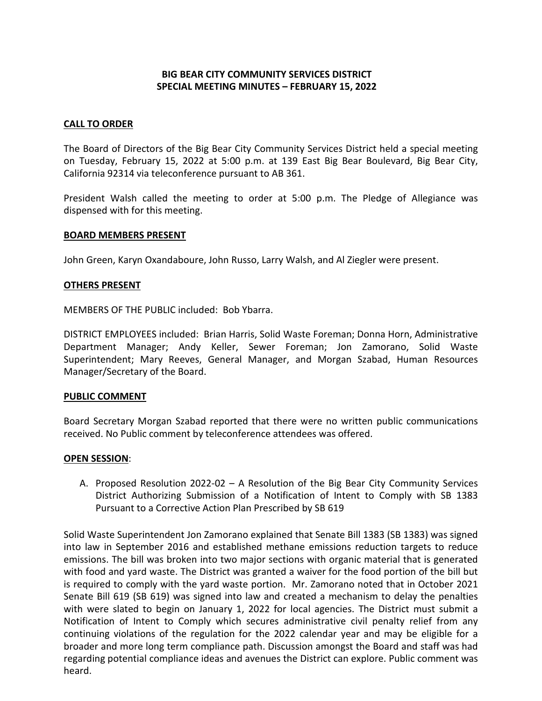# **BIG BEAR CITY COMMUNITY SERVICES DISTRICT SPECIAL MEETING MINUTES – FEBRUARY 15, 2022**

## **CALL TO ORDER**

The Board of Directors of the Big Bear City Community Services District held a special meeting on Tuesday, February 15, 2022 at 5:00 p.m. at 139 East Big Bear Boulevard, Big Bear City, California 92314 via teleconference pursuant to AB 361.

President Walsh called the meeting to order at 5:00 p.m. The Pledge of Allegiance was dispensed with for this meeting.

#### **BOARD MEMBERS PRESENT**

John Green, Karyn Oxandaboure, John Russo, Larry Walsh, and Al Ziegler were present.

## **OTHERS PRESENT**

MEMBERS OF THE PUBLIC included: Bob Ybarra.

DISTRICT EMPLOYEES included: Brian Harris, Solid Waste Foreman; Donna Horn, Administrative Department Manager; Andy Keller, Sewer Foreman; Jon Zamorano, Solid Waste Superintendent; Mary Reeves, General Manager, and Morgan Szabad, Human Resources Manager/Secretary of the Board.

## **PUBLIC COMMENT**

Board Secretary Morgan Szabad reported that there were no written public communications received. No Public comment by teleconference attendees was offered.

#### **OPEN SESSION**:

A. Proposed Resolution 2022-02 – A Resolution of the Big Bear City Community Services District Authorizing Submission of a Notification of Intent to Comply with SB 1383 Pursuant to a Corrective Action Plan Prescribed by SB 619

Solid Waste Superintendent Jon Zamorano explained that Senate Bill 1383 (SB 1383) was signed into law in September 2016 and established methane emissions reduction targets to reduce emissions. The bill was broken into two major sections with organic material that is generated with food and yard waste. The District was granted a waiver for the food portion of the bill but is required to comply with the yard waste portion. Mr. Zamorano noted that in October 2021 Senate Bill 619 (SB 619) was signed into law and created a mechanism to delay the penalties with were slated to begin on January 1, 2022 for local agencies. The District must submit a Notification of Intent to Comply which secures administrative civil penalty relief from any continuing violations of the regulation for the 2022 calendar year and may be eligible for a broader and more long term compliance path. Discussion amongst the Board and staff was had regarding potential compliance ideas and avenues the District can explore. Public comment was heard.